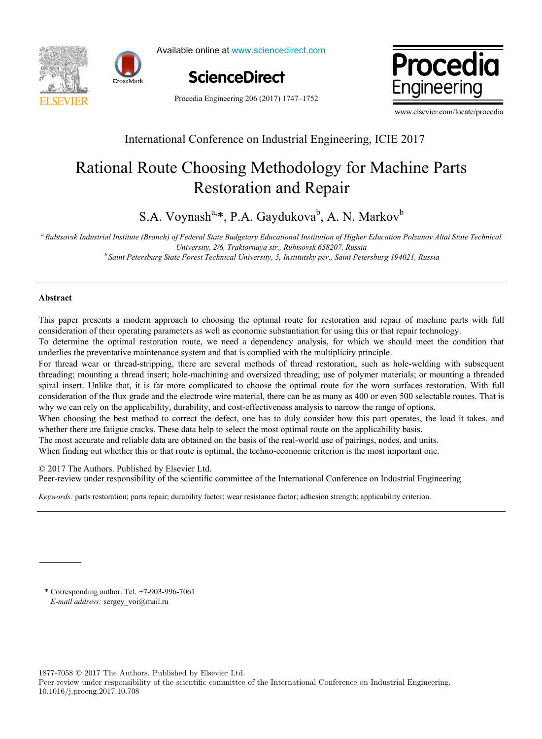



Available online at www.sciencedirect.com





Procedia Engineering 206 (2017) 1747–1752

www.elsevier.com/locate/procedia

# International Conference on Industrial Engineering, ICIE 2017

# Rational Route Choosing Methodology for Machine Parts Restoration and Repair

S.A. Voynash<sup>a,\*</sup>, P.A. Gaydukova<sup>b</sup>, A. N. Markov<sup>b</sup> Restoration and Repair

a<br>Aubtsovsk Industrial Institute (Branch) of Federal State Budgetary Educational Institution of Higher Education Polzunov Altai State Technical » University, 2/6, Traktornaya str., Rubtsovsk 658207, Russia<br>b Saint Petersburg State Forest Technical University, 5, Institutsky per., Saint Petersburg 194021, Russia *University, 2/6, Traktornaya str., Rubtsovsk 658207, Russia b Saint Petersburg State Forest Technical University, 5, Institutsky per., Saint Petersburg 194021, Russia* 

### **Abstract**

This paper presents a modern approach to choosing the optimal route for restoration and repair of machine parts with full consideration of their operating parameters as well as economic substantiation for using this or that repair technology. **Abstract** 

To determine the optimal restoration route, we need a dependency analysis, for which we should meet the condition that underlies the preventative maintenance system and that is complied with the multiplicity principle.

For thread wear or thread-stripping, there are several methods of thread restoration, such as hole-welding with subsequent threading; mounting a thread insert; hole-machining and oversized threading; use of polymer materials; or mounting a threaded spiral insert. Unlike that, it is far more complicated to choose the optimal route for the worn surfaces restoration. With full consideration of the flux grade and the electrode wire material, there can be as many as 400 or even 500 selectable routes. That is why we can rely on the applicability, durability, and cost-effectiveness analysis to narrow the range of options.

When choosing the best method to correct the defect, one has to duly consider how this part operates, the load it takes, and whether there are fatigue cracks. These data help to select the most optimal route on the applicability basis.

The most accurate and reliable data are obtained on the basis of the real-world use of pairings, nodes, and units.

When finding out whether this or that route is optimal, the techno-economic criterion is the most important one.

© 2017 The Authors. Published by Elsevier Ltd.

C 2017 The Authors. Published by Elsevier Ltd.<br>Peer-review under responsibility of the scientific committee of the International Conference on Industrial Engineering Peer-review under responsibility of the scientific committee of the International Conference on Industrial Eng Peer-review under responsibility of the scientific committee of the International Conference on Industrial Engineering.

*Keywords:* parts restoration; parts repair; durability factor; wear resistance factor; adhesion strength; applicability criterion.

\* Corresponding author. Tel. +7-903-996-7061 *E-mail address:* sergey\_voi@mail.ru

1877-7058 © 2017 The Authors. Published by Elsevier Ltd.

Peer-review under responsibility of the scientific committee of the International Conference on Industrial Engineering. 10.1016/j.proeng.2017.10.708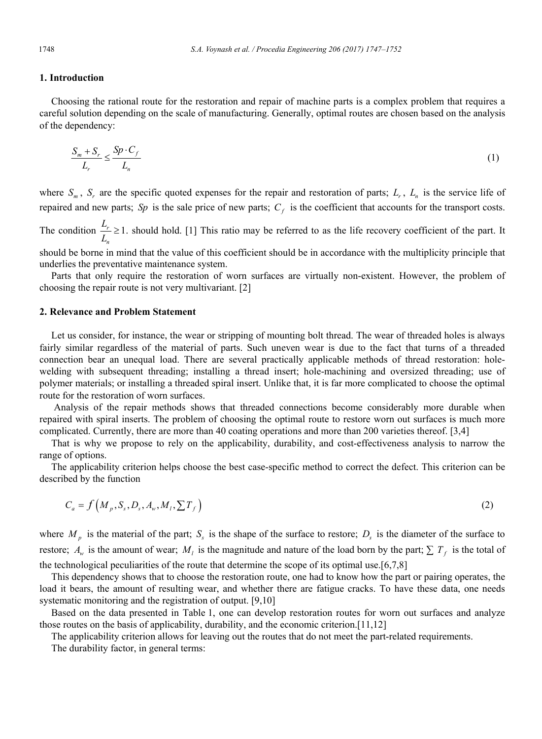# **1. Introduction**

Choosing the rational route for the restoration and repair of machine parts is a complex problem that requires a careful solution depending on the scale of manufacturing. Generally, optimal routes are chosen based on the analysis of the dependency:

$$
\frac{S_m + S_r}{L_r} \le \frac{Sp \cdot C_f}{L_n} \tag{1}
$$

where  $S_m$ ,  $S_r$  are the specific quoted expenses for the repair and restoration of parts;  $L_r$ ,  $L_n$  is the service life of repaired and new parts; *Sp* is the sale price of new parts;  $C_f$  is the coefficient that accounts for the transport costs.

The condition  $\frac{L_r}{I} \geq 1$ . *n L*  $\frac{L_r}{L_n} \ge 1$ . should hold. [1] This ratio may be referred to as the life recovery coefficient of the part. It

should be borne in mind that the value of this coefficient should be in accordance with the multiplicity principle that underlies the preventative maintenance system.

Parts that only require the restoration of worn surfaces are virtually non-existent. However, the problem of choosing the repair route is not very multivariant. [2]

#### **2. Relevance and Problem Statement**

Let us consider, for instance, the wear or stripping of mounting bolt thread. The wear of threaded holes is always fairly similar regardless of the material of parts. Such uneven wear is due to the fact that turns of a threaded connection bear an unequal load. There are several practically applicable methods of thread restoration: holewelding with subsequent threading; installing a thread insert; hole-machining and oversized threading; use of polymer materials; or installing a threaded spiral insert. Unlike that, it is far more complicated to choose the optimal route for the restoration of worn surfaces.

 Analysis of the repair methods shows that threaded connections become considerably more durable when repaired with spiral inserts. The problem of choosing the optimal route to restore worn out surfaces is much more complicated. Currently, there are more than 40 coating operations and more than 200 varieties thereof. [3,4]

That is why we propose to rely on the applicability, durability, and cost-effectiveness analysis to narrow the range of options.

The applicability criterion helps choose the best case-specific method to correct the defect. This criterion can be described by the function

$$
C_a = f\left(M_p, S_s, D_s, A_w, M_l, \sum T_f\right) \tag{2}
$$

where  $M_p$  is the material of the part;  $S_s$  is the shape of the surface to restore;  $D_s$  is the diameter of the surface to restore;  $A_w$  is the amount of wear;  $M_l$  is the magnitude and nature of the load born by the part;  $\sum T_f$  is the total of the technological peculiarities of the route that determine the scope of its optimal use.[6,7,8]

This dependency shows that to choose the restoration route, one had to know how the part or pairing operates, the load it bears, the amount of resulting wear, and whether there are fatigue cracks. To have these data, one needs systematic monitoring and the registration of output. [9,10]

Based on the data presented in Table 1, one can develop restoration routes for worn out surfaces and analyze those routes on the basis of applicability, durability, and the economic criterion.[11,12]

The applicability criterion allows for leaving out the routes that do not meet the part-related requirements.

The durability factor, in general terms: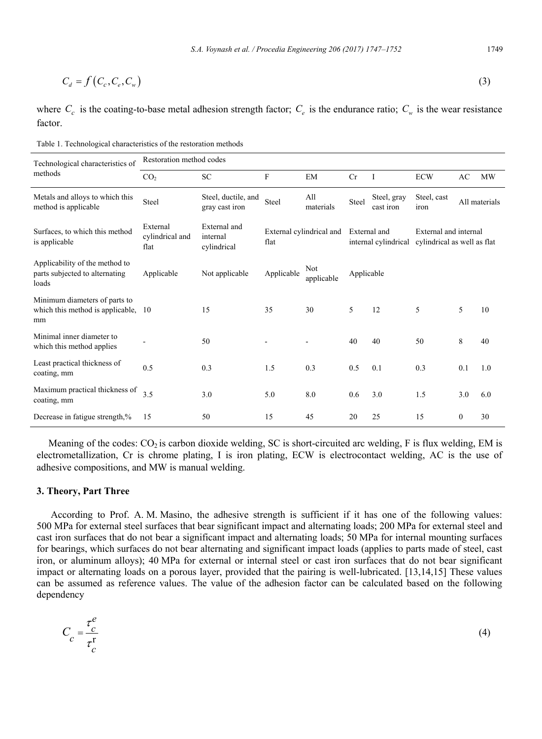$$
C_d = f\left(C_c, C_e, C_w\right) \tag{3}
$$

where  $C_c$  is the coating-to-base metal adhesion strength factor;  $C_e$  is the endurance ratio;  $C_w$  is the wear resistance factor.

Table 1. Technological characteristics of the restoration methods

| Technological characteristics of<br>methods                               | Restoration method codes            |                                         |              |                          |                                      |                          |                                                      |               |           |  |
|---------------------------------------------------------------------------|-------------------------------------|-----------------------------------------|--------------|--------------------------|--------------------------------------|--------------------------|------------------------------------------------------|---------------|-----------|--|
|                                                                           | CO <sub>2</sub>                     | <b>SC</b>                               | $\mathbf{F}$ | EM                       | Cr                                   | <b>I</b>                 | <b>ECW</b>                                           | AC            | <b>MW</b> |  |
| Metals and alloys to which this<br>method is applicable.                  | Steel                               | Steel, ductile, and<br>gray cast iron   | Steel        | All<br>materials         | Steel                                | Steel, gray<br>cast iron | Steel, cast<br>iron                                  | All materials |           |  |
| Surfaces, to which this method<br>is applicable                           | External<br>cylindrical and<br>flat | External and<br>internal<br>cylindrical | flat         | External cylindrical and | External and<br>internal cylindrical |                          | External and internal<br>cylindrical as well as flat |               |           |  |
| Applicability of the method to<br>parts subjected to alternating<br>loads | Applicable                          | Not applicable                          | Applicable   | Not<br>applicable        | Applicable                           |                          |                                                      |               |           |  |
| Minimum diameters of parts to<br>which this method is applicable.<br>mm   | 10                                  | 15                                      | 35           | 30                       | 5                                    | 12                       | 5                                                    | 5             | 10        |  |
| Minimal inner diameter to<br>which this method applies                    |                                     | 50                                      |              |                          | 40                                   | 40                       | 50                                                   | 8             | 40        |  |
| Least practical thickness of<br>coating, mm                               | 0.5                                 | 0.3                                     | 1.5          | 0.3                      | 0.5                                  | 0.1                      | 0.3                                                  | 0.1           | 1.0       |  |
| Maximum practical thickness of<br>coating, mm                             | 3.5                                 | 3.0                                     | 5.0          | 8.0                      | 0.6                                  | 3.0                      | 1.5                                                  | 3.0           | 6.0       |  |
| Decrease in fatigue strength,%                                            | 15                                  | 50                                      | 15           | 45                       | 20                                   | 25                       | 15                                                   | $\mathbf{0}$  | 30        |  |

Meaning of the codes:  $CO_2$  is carbon dioxide welding, SC is short-circuited arc welding, F is flux welding, EM is electrometallization, Cr is chrome plating, I is iron plating, ECW is electrocontact welding, AC is the use of adhesive compositions, and MW is manual welding.

# **3. Theory, Part Three**

According to Prof. A. M. Masino, the adhesive strength is sufficient if it has one of the following values: 500 MPa for external steel surfaces that bear significant impact and alternating loads; 200 MPa for external steel and cast iron surfaces that do not bear a significant impact and alternating loads; 50 MPa for internal mounting surfaces for bearings, which surfaces do not bear alternating and significant impact loads (applies to parts made of steel, cast iron, or aluminum alloys); 40 MPa for external or internal steel or cast iron surfaces that do not bear significant impact or alternating loads on a porous layer, provided that the pairing is well-lubricated. [13,14,15] These values can be assumed as reference values. The value of the adhesion factor can be calculated based on the following dependency

$$
C_c = \frac{\tau_c^e}{\tau_c^r} \tag{4}
$$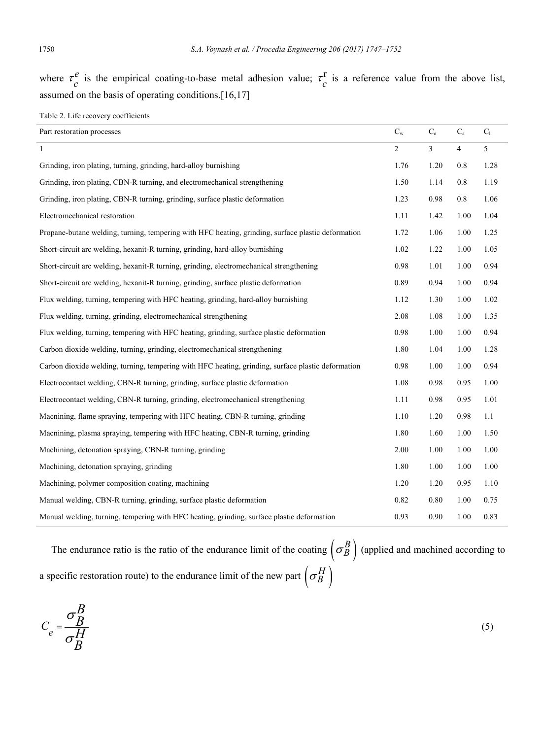where  $\tau_c^e$  is the empirical coating-to-base metal adhesion value;  $\tau_c^r$  is a reference value from the above list, assumed on the basis of operating conditions.[16,17]

Table 2. Life recovery coefficients

| Part restoration processes                                                                         | $C_{w}$        | $\mathrm{C_{e}}$ | $\mathrm{C}_\mathrm{a}$ | $C_1$ |
|----------------------------------------------------------------------------------------------------|----------------|------------------|-------------------------|-------|
| $\mathbf{1}$                                                                                       | $\overline{2}$ | 3                | $\overline{4}$          | 5     |
| Grinding, iron plating, turning, grinding, hard-alloy burnishing                                   | 1.76           | 1.20             | 0.8                     | 1.28  |
| Grinding, iron plating, CBN-R turning, and electromechanical strengthening                         | 1.50           | 1.14             | 0.8                     | 1.19  |
| Grinding, iron plating, CBN-R turning, grinding, surface plastic deformation                       | 1.23           | 0.98             | 0.8                     | 1.06  |
| Electromechanical restoration                                                                      | 1.11           | 1.42             | 1.00                    | 1.04  |
| Propane-butane welding, turning, tempering with HFC heating, grinding, surface plastic deformation | 1.72           | 1.06             | 1.00                    | 1.25  |
| Short-circuit arc welding, hexanit-R turning, grinding, hard-alloy burnishing                      | 1.02           | 1.22             | 1.00                    | 1.05  |
| Short-circuit arc welding, hexanit-R turning, grinding, electromechanical strengthening            | 0.98           | 1.01             | 1.00                    | 0.94  |
| Short-circuit arc welding, hexanit-R turning, grinding, surface plastic deformation                | 0.89           | 0.94             | 1.00                    | 0.94  |
| Flux welding, turning, tempering with HFC heating, grinding, hard-alloy burnishing                 | 1.12           | 1.30             | 1.00                    | 1.02  |
| Flux welding, turning, grinding, electromechanical strengthening                                   | 2.08           | 1.08             | 1.00                    | 1.35  |
| Flux welding, turning, tempering with HFC heating, grinding, surface plastic deformation           | 0.98           | 1.00             | 1.00                    | 0.94  |
| Carbon dioxide welding, turning, grinding, electromechanical strengthening                         | 1.80           | 1.04             | 1.00                    | 1.28  |
| Carbon dioxide welding, turning, tempering with HFC heating, grinding, surface plastic deformation | 0.98           | 1.00             | 1.00                    | 0.94  |
| Electrocontact welding, CBN-R turning, grinding, surface plastic deformation                       | 1.08           | 0.98             | 0.95                    | 1.00  |
| Electrocontact welding, CBN-R turning, grinding, electromechanical strengthening                   | 1.11           | 0.98             | 0.95                    | 1.01  |
| Macnining, flame spraying, tempering with HFC heating, CBN-R turning, grinding                     | 1.10           | 1.20             | 0.98                    | 1.1   |
| Macnining, plasma spraying, tempering with HFC heating, CBN-R turning, grinding                    | 1.80           | 1.60             | 1.00                    | 1.50  |
| Machining, detonation spraying, CBN-R turning, grinding                                            | 2.00           | 1.00             | 1.00                    | 1.00  |
| Machining, detonation spraying, grinding                                                           | 1.80           | 1.00             | 1.00                    | 1.00  |
| Machining, polymer composition coating, machining                                                  | 1.20           | 1.20             | 0.95                    | 1.10  |
| Manual welding, CBN-R turning, grinding, surface plastic deformation                               | 0.82           | 0.80             | 1.00                    | 0.75  |
| Manual welding, turning, tempering with HFC heating, grinding, surface plastic deformation         | 0.93           | 0.90             | 1.00                    | 0.83  |

The endurance ratio is the ratio of the endurance limit of the coating  $\left(\sigma_B^B\right)$  (applied and machined according to a specific restoration route) to the endurance limit of the new part  $\left(\sigma_B^H\right)$ 

*е С В В Н В*  $\sigma$  $\sigma$  $=$  $\frac{-L}{L}$  (5)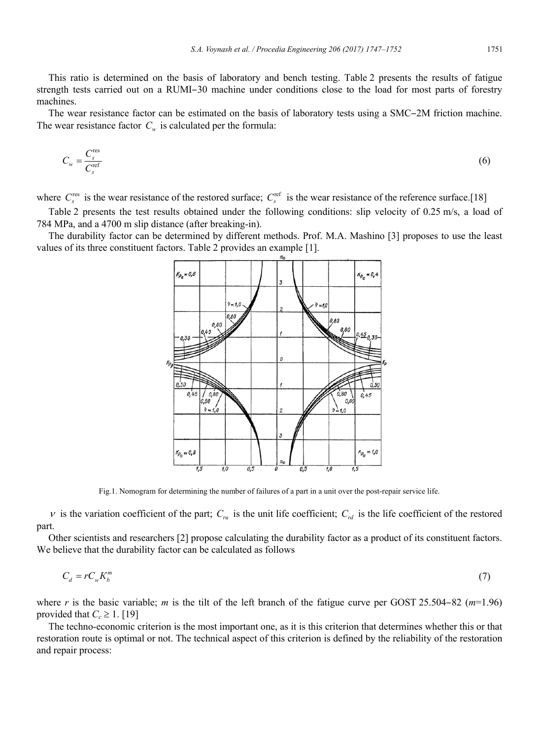This ratio is determined on the basis of laboratory and bench testing. Table 2 presents the results of fatigue strength tests carried out on a RUMI–30 machine under conditions close to the load for most parts of forestry machines.

The wear resistance factor can be estimated on the basis of laboratory tests using a SMC-2M friction machine. The wear resistance factor  $C_w$  is calculated per the formula:

$$
C_w = \frac{C_s^{\text{res}}}{C_s^{\text{ref}}}
$$
(6)

where  $C_s^{\text{res}}$  is the wear resistance of the restored surface;  $C_s^{\text{ref}}$  is the wear resistance of the reference surface.[18]

Table 2 presents the test results obtained under the following conditions: slip velocity of 0.25 m/s, a load of 784 MPa, and a 4700 m slip distance (after breaking-in).

The durability factor can be determined by different methods. Prof. M.A. Mashino [3] proposes to use the least values of its three constituent factors. Table 2 provides an example [1].



Fig.1. Nomogram for determining the number of failures of a part in a unit over the post-repair service life.

 $\nu$  is the variation coefficient of the part;  $C_{n\mu}$  is the unit life coefficient;  $C_{n\mu}$  is the life coefficient of the restored part.

Other scientists and researchers [2] propose calculating the durability factor as a product of its constituent factors. We believe that the durability factor can be calculated as follows

$$
C_d = r C_w K_b^m \tag{7}
$$

where *r* is the basic variable; *m* is the tilt of the left branch of the fatigue curve per GOST 25.504–82 ( $m=1.96$ ) provided that  $C_c \geq 1$ . [19]

The techno-economic criterion is the most important one, as it is this criterion that determines whether this or that restoration route is optimal or not. The technical aspect of this criterion is defined by the reliability of the restoration and repair process: